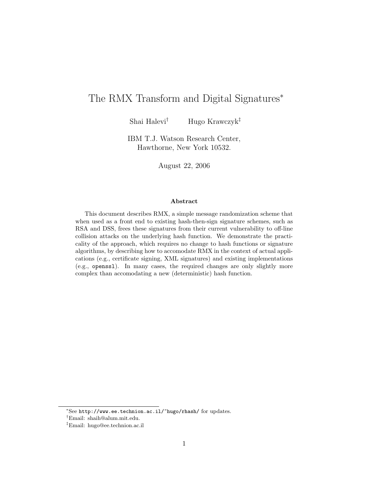# The RMX Transform and Digital Signatures<sup>∗</sup>

Shai Halevi† Hugo Krawczyk‡

IBM T.J. Watson Research Center, Hawthorne, New York 10532.

August 22, 2006

#### Abstract

This document describes RMX, a simple message randomization scheme that when used as a front end to existing hash-then-sign signature schemes, such as RSA and DSS, frees these signatures from their current vulnerability to off-line collision attacks on the underlying hash function. We demonstrate the practicality of the approach, which requires no change to hash functions or signature algorithms, by describing how to accomodate RMX in the context of actual applications (e.g., certificate signing, XML signatures) and existing implementations (e.g., openssl). In many cases, the required changes are only slightly more complex than accomodating a new (deterministic) hash function.

<sup>∗</sup>See http://www.ee.technion.ac.il/~hugo/rhash/ for updates.

<sup>†</sup>Email: shaih@alum.mit.edu.

<sup>‡</sup>Email: hugo@ee.technion.ac.il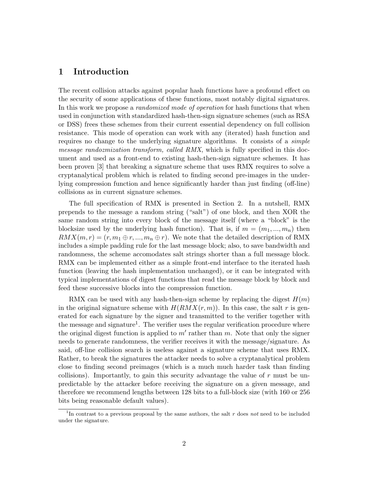# 1 Introduction

The recent collision attacks against popular hash functions have a profound effect on the security of some applications of these functions, most notably digital signatures. In this work we propose a *randomized mode of operation* for hash functions that when used in conjunction with standardized hash-then-sign signature schemes (such as RSA or DSS) frees these schemes from their current essential dependency on full collision resistance. This mode of operation can work with any (iterated) hash function and requires no change to the underlying signature algorithms. It consists of a *simple* message randozmization transform, called RMX, which is fully specified in this document and used as a front-end to existing hash-then-sign signature schemes. It has been proven [3] that breaking a signature scheme that uses RMX requires to solve a cryptanalytical problem which is related to finding second pre-images in the underlying compression function and hence significantly harder than just finding (off-line) collisions as in current signature schemes.

The full specification of RMX is presented in Section 2. In a nutshell, RMX prepends to the message a random string ("salt") of one block, and then XOR the same random string into every block of the message itself (where a "block" is the blocksize used by the underlying hash function). That is, if  $m = (m_1, ..., m_n)$  then  $RMX(m, r) = (r, m_1 \oplus r, ..., m_n \oplus r)$ . We note that the detailed description of RMX includes a simple padding rule for the last message block; also, to save bandwidth and randomness, the scheme accomodates salt strings shorter than a full message block. RMX can be implemented either as a simple front-end interface to the iterated hash function (leaving the hash implementation unchanged), or it can be integrated with typical implementations of digest functions that read the message block by block and feed these successive blocks into the compression function.

RMX can be used with any hash-then-sign scheme by replacing the digest  $H(m)$ in the original signature scheme with  $H(RMX(r, m))$ . In this case, the salt r is generated for each signature by the signer and transmitted to the verifier together with the message and signature<sup>1</sup>. The verifier uses the regular verification procedure where the original digest function is applied to  $m'$  rather than m. Note that only the signer needs to generate randomness, the verifier receives it with the message/signature. As said, off-line collision search is useless against a signature scheme that uses RMX. Rather, to break the signatures the attacker needs to solve a cryptanalytical problem close to finding second preimages (which is a much much harder task than finding collisions). Importantly, to gain this security advantage the value of r must be unpredictable by the attacker before receiving the signature on a given message, and therefore we recommend lengths between 128 bits to a full-block size (with 160 or 256 bits being reasonable default values).

<sup>&</sup>lt;sup>1</sup>In contrast to a previous proposal by the same authors, the salt r does not need to be included under the signature.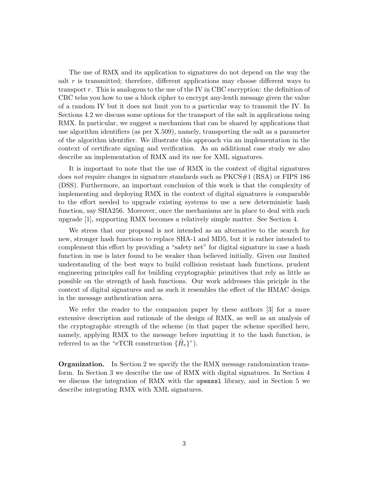The use of RMX and its application to signatures do not depend on the way the salt  $r$  is transmitted; therefore, different applications may choose different ways to transport  $r$ . This is analogous to the use of the IV in CBC encryption: the definition of CBC telss you how to use a block cipher to encrypt any-lenth message given the value of a random IV but it does not limit you to a particular way to transmit the IV. In Sections 4.2 we discuss some options for the transport of the salt in applications using RMX. In particular, we suggest a mechanism that can be shared by applications that use algorithm identifiers (as per X.509), namely, transporting the salt as a parameter of the algorithm identifier. We illustrate this approach via an implementation in the context of certificate signing and verification. As an additional case study we also describe an implementation of RMX and its use for XML signatures.

It is important to note that the use of RMX in the context of digital signatures does not require changes in signature standards such as PKCS#1 (RSA) or FIPS 186 (DSS). Furthermore, an important conclusion of this work is that the complexity of implementing and deploying RMX in the context of digital signatures is comparable to the effort needed to upgrade existing systems to use a new deterministic hash function, say SHA256. Moreover, once the mechanisms are in place to deal with such upgrade [1], supporting RMX becomes a relatively simple matter. See Section 4.

We stress that our proposal is not intended as an alternative to the search for new, stronger hash functions to replace SHA-1 and MD5, but it is rather intended to complement this effort by providing a "safety net" for digital signature in case a hash function in use is later found to be weaker than believed initially. Given our limited understanding of the best ways to build collision resistant hash functions, prudent engineering principles call for building cryptographic primitives that rely as little as possible on the strength of hash functions. Our work addresses this priciple in the context of digital signatures and as such it resembles the effect of the HMAC design in the message authentication area.

We refer the reader to the companion paper by these authors [3] for a more extensive description and rationale of the design of RMX, as well as an analysis of the cryptographic strength of the scheme (in that paper the scheme specified here, namely, applying RMX to the message before inputting it to the hash function, is referred to as the "eTCR construction  $\{\tilde{H}_r\}$ ").

Organization. In Section 2 we specify the the RMX message randomization transform. In Section 3 we describe the use of RMX with digital signatures. In Section 4 we discuss the integration of RMX with the openssl library, and in Section 5 we describe integrating RMX with XML signatures.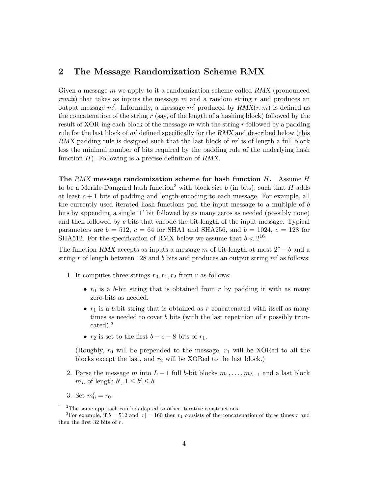## 2 The Message Randomization Scheme RMX

Given a message  $m$  we apply to it a randomization scheme called RMX (pronounced *remix*) that takes as inputs the message  $m$  and a random string  $r$  and produces an output message m'. Informally, a message m' produced by  $RMX(r, m)$  is defined as the concatenation of the string  $r$  (say, of the length of a hashing block) followed by the result of XOR-ing each block of the message  $m$  with the string r followed by a padding rule for the last block of  $m'$  defined specifically for the RMX and described below (this RMX padding rule is designed such that the last block of  $m'$  is of length a full block less the minimal number of bits required by the padding rule of the underlying hash function  $H$ ). Following is a precise definition of RMX.

The RMX message randomization scheme for hash function  $H$ . Assume  $H$ to be a Merkle-Damgard hash function<sup>2</sup> with block size b (in bits), such that H adds at least  $c + 1$  bits of padding and length-encoding to each message. For example, all the currently used iterated hash functions pad the input message to a multiple of b bits by appending a single '1' bit followed by as many zeros as needed (possibly none) and then followed by c bits that encode the bit-length of the input message. Typical parameters are  $b = 512$ ,  $c = 64$  for SHA1 and SHA256, and  $b = 1024$ ,  $c = 128$  for SHA512. For the specification of RMX below we assume that  $b < 2^{16}$ .

The function RMX accepts as inputs a message m of bit-length at most  $2^c - b$  and a string r of length between 128 and b bits and produces an output string  $m'$  as follows:

- 1. It computes three strings  $r_0, r_1, r_2$  from r as follows:
	- $r_0$  is a b-bit string that is obtained from r by padding it with as many zero-bits as needed.
	- $r_1$  is a b-bit string that is obtained as r concatenated with itself as many times as needed to cover b bits (with the last repetition of  $r$  possibly truncated).<sup>3</sup>
	- $r_2$  is set to the first  $b c 8$  bits of  $r_1$ .

(Roughly,  $r_0$  will be prepended to the message,  $r_1$  will be XORed to all the blocks except the last, and  $r_2$  will be XORed to the last block.)

- 2. Parse the message m into  $L-1$  full b-bit blocks  $m_1, \ldots, m_{L-1}$  and a last block  $m<sub>L</sub>$  of length  $b'$ ,  $1 \leq b' \leq b$ .
- 3. Set  $m'_0 = r_0$ .

<sup>2</sup>The same approach can be adapted to other iterative constructions.

<sup>&</sup>lt;sup>3</sup>For example, if  $b = 512$  and  $|r| = 160$  then  $r_1$  consists of the concatenation of three times r and then the first 32 bits of r.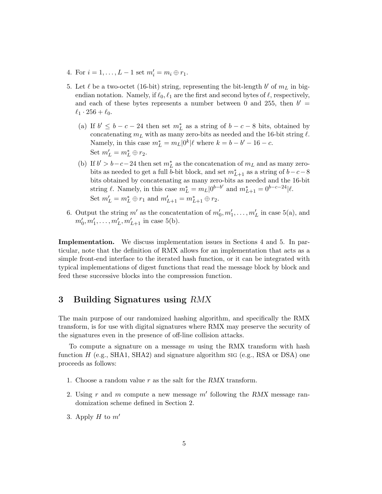- 4. For  $i = 1, ..., L 1$  set  $m'_i = m_i \oplus r_1$ .
- 5. Let  $\ell$  be a two-octet (16-bit) string, representing the bit-length  $b'$  of  $m<sub>L</sub>$  in bigendian notation. Namely, if  $\ell_0, \ell_1$  are the first and second bytes of  $\ell$ , respectively, and each of these bytes represents a number between 0 and 255, then  $b' =$  $\ell_1 \cdot 256 + \ell_0.$ 
	- (a) If  $b' \le b c 24$  then set  $m<sub>L</sub><sup>*</sup>$  as a string of  $b c 8$  bits, obtained by concatenating  $m<sub>L</sub>$  with as many zero-bits as needed and the 16-bit string  $\ell$ . Namely, in this case  $m_L^* = m_L|0^k|\ell$  where  $k = b - b' - 16 - c$ . Set  $m'_L = m_L^* \oplus r_2$ .
	- (b) If  $b' > b c 24$  then set  $m<sub>L</sub><sup>*</sup>$  as the concatenation of  $m<sub>L</sub>$  and as many zerobits as needed to get a full b-bit block, and set  $m_{L+1}^*$  as a string of  $b-c-8$ bits obtained by concatenating as many zero-bits as needed and the 16-bit string  $\ell$ . Namely, in this case  $m_L^* = m_L|0^{b-b'}$  and  $m_{L+1}^* = 0^{b-c-24}|\ell$ . Set  $m'_L = m_L^* \oplus r_1$  and  $m'_{L+1} = m_{L+1}^* \oplus r_2$ .
- 6. Output the string  $m'$  as the concatentation of  $m'_0, m'_1, \ldots, m'_L$  in case 5(a), and  $m'_0, m'_1, \ldots, m'_L, m'_{L+1}$  in case 5(b).

Implementation. We discuss implementation issues in Sections 4 and 5. In particular, note that the definition of RMX allows for an implementation that acts as a simple front-end interface to the iterated hash function, or it can be integrated with typical implementations of digest functions that read the message block by block and feed these successive blocks into the compression function.

## 3 Building Signatures using RMX

The main purpose of our randomized hashing algorithm, and specifically the RMX transform, is for use with digital signatures where RMX may preserve the security of the signatures even in the presence of off-line collision attacks.

To compute a signature on a message  $m$  using the RMX transform with hash function H (e.g., SHA1, SHA2) and signature algorithm sig (e.g., RSA or DSA) one proceeds as follows:

- 1. Choose a random value  $r$  as the salt for the RMX transform.
- 2. Using r and m compute a new message  $m'$  following the RMX message randomization scheme defined in Section 2.
- 3. Apply  $H$  to  $m'$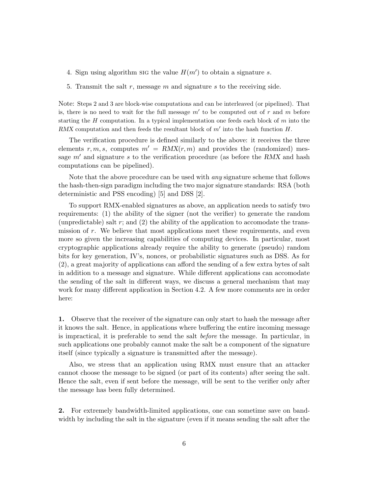- 4. Sign using algorithm sig the value  $H(m')$  to obtain a signature s.
- 5. Transmit the salt r, message  $m$  and signature  $s$  to the receiving side.

Note: Steps 2 and 3 are block-wise computations and can be interleaved (or pipelined). That is, there is no need to wait for the full message  $m'$  to be computed out of r and m before starting the  $H$  computation. In a typical implementation one feeds each block of  $m$  into the RMX computation and then feeds the resultant block of  $m'$  into the hash function  $H$ .

The verification procedure is defined similarly to the above: it receives the three elements r, m, s, computes  $m' = RMX(r, m)$  and provides the (randomized) message  $m'$  and signature s to the verification procedure (as before the RMX and hash computations can be pipelined).

Note that the above procedure can be used with *any* signature scheme that follows the hash-then-sign paradigm including the two major signature standards: RSA (both deterministic and PSS encoding) [5] and DSS [2].

To support RMX-enabled signatures as above, an application needs to satisfy two requirements: (1) the ability of the signer (not the verifier) to generate the random (unpredictable) salt  $r$ ; and  $(2)$  the ability of the application to accomodate the transmission of r. We believe that most applications meet these requirements, and even more so given the increasing capabilities of computing devices. In particular, most cryptographic applications already require the ability to generate (pseudo) random bits for key generation, IV's, nonces, or probabilistic signatures such as DSS. As for (2), a great majority of applications can afford the sending of a few extra bytes of salt in addition to a message and signature. While different applications can accomodate the sending of the salt in different ways, we discuss a general mechanism that may work for many different application in Section 4.2. A few more comments are in order here:

1. Observe that the receiver of the signature can only start to hash the message after it knows the salt. Hence, in applications where buffering the entire incoming message is impractical, it is preferable to send the salt before the message. In particular, in such applications one probably cannot make the salt be a component of the signature itself (since typically a signature is transmitted after the message).

Also, we stress that an application using RMX must ensure that an attacker cannot choose the message to be signed (or part of its contents) after seeing the salt. Hence the salt, even if sent before the message, will be sent to the verifier only after the message has been fully determined.

2. For extremely bandwidth-limited applications, one can sometime save on bandwidth by including the salt in the signature (even if it means sending the salt after the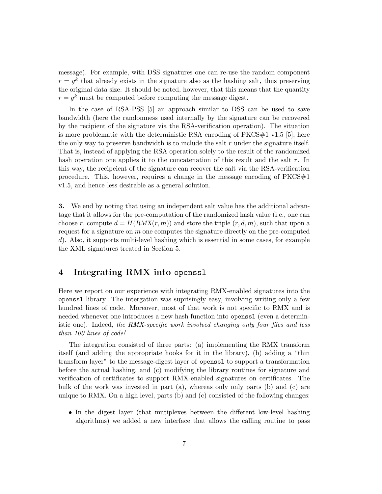message). For example, with DSS signatures one can re-use the random component  $r = g<sup>k</sup>$  that already exists in the signature also as the hashing salt, thus preserving the original data size. It should be noted, however, that this means that the quantity  $r = g^k$  must be computed before computing the message digest.

In the case of RSA-PSS [5] an approach similar to DSS can be used to save bandwidth (here the randomness used internally by the signature can be recovered by the recipient of the signature via the RSA-verification operation). The situation is more problematic with the deterministic RSA encoding of  $PKCS#1$  v1.5 [5]; here the only way to preserve bandwidth is to include the salt  $r$  under the signature itself. That is, instead of applying the RSA operation solely to the result of the randomized hash operation one applies it to the concatenation of this result and the salt r. In this way, the recipeient of the signature can recover the salt via the RSA-verification procedure. This, however, requires a change in the message encoding of  $PKCS#1$ v1.5, and hence less desirable as a general solution.

3. We end by noting that using an independent salt value has the additional advantage that it allows for the pre-computation of the randomized hash value (i.e., one can choose r, compute  $d = H(RMX(r, m))$  and store the triple  $(r, d, m)$ , such that upon a request for a signature on  $m$  one computes the signature directly on the pre-computed d). Also, it supports multi-level hashing which is essential in some cases, for example the XML signatures treated in Section 5.

# 4 Integrating RMX into openssl

Here we report on our experience with integrating RMX-enabled signatures into the openssl library. The intergation was suprisingly easy, involving writing only a few hundred lines of code. Moreover, most of that work is not specific to RMX and is needed whenever one introduces a new hash function into openssl (even a deterministic one). Indeed, the RMX-specific work involved changing only four files and less than 100 lines of code!

The integration consisted of three parts: (a) implementing the RMX transform itself (and adding the appropriate hooks for it in the library), (b) adding a "thin transform layer" to the message-digest layer of openssl to support a transformation before the actual hashing, and (c) modifying the library routines for signature and verification of certificates to support RMX-enabled signatures on certificates. The bulk of the work was invested in part (a), whereas only only parts (b) and (c) are unique to RMX. On a high level, parts (b) and (c) consisted of the following changes:

• In the digest layer (that mutiplexes between the different low-level hashing algorithms) we added a new interface that allows the calling routine to pass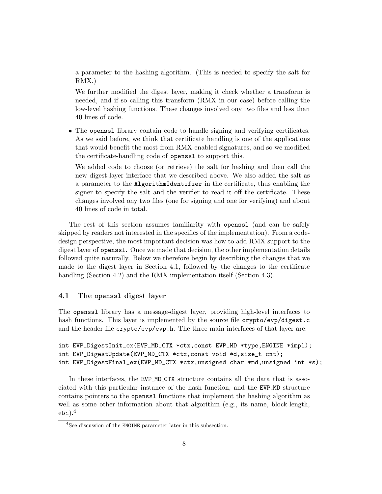a parameter to the hashing algorithm. (This is needed to specify the salt for RMX.)

We further modified the digest layer, making it check whether a transform is needed, and if so calling this transform (RMX in our case) before calling the low-level hashing functions. These changes involved ony two files and less than 40 lines of code.

• The openssl library contain code to handle signing and verifying certificates. As we said before, we think that certificate handling is one of the applications that would benefit the most from RMX-enabled signatures, and so we modified the certificate-handling code of openssl to support this.

We added code to choose (or retrieve) the salt for hashing and then call the new digest-layer interface that we described above. We also added the salt as a parameter to the AlgorithmIdentifier in the certificate, thus enabling the signer to specify the salt and the verifier to read it off the certificate. These changes involved ony two files (one for signing and one for verifying) and about 40 lines of code in total.

The rest of this section assumes familiarity with openssl (and can be safely skipped by readers not interested in the specifics of the implementation). From a codedesign perspective, the most important decision was how to add RMX support to the digest layer of openssl. Once we made that decision, the other implementation details followed quite naturally. Below we therefore begin by describing the changes that we made to the digest layer in Section 4.1, followed by the changes to the certificate handling (Section 4.2) and the RMX implementation itself (Section 4.3).

## 4.1 The openssl digest layer

The openssl library has a message-digest layer, providing high-level interfaces to hash functions. This layer is implemented by the source file crypto/evp/digest.c and the header file crypto/evp/evp.h. The three main interfaces of that layer are:

```
int EVP_DigestInit_ex(EVP_MD_CTX *ctx,const EVP_MD *type,ENGINE *impl);
int EVP_DigestUpdate(EVP_MD_CTX *ctx,const void *d,size_t cnt);
int EVP_DigestFinal_ex(EVP_MD_CTX *ctx,unsigned char *md,unsigned int *s);
```
In these interfaces, the EVP\_MD\_CTX structure contains all the data that is associated with this particular instance of the hash function, and the EVP MD structure contains pointers to the openssl functions that implement the hashing algorithm as well as some other information about that algorithm (e.g., its name, block-length,  $etc.$ ).<sup>4</sup>

<sup>&</sup>lt;sup>4</sup>See discussion of the **ENGINE** parameter later in this subsection.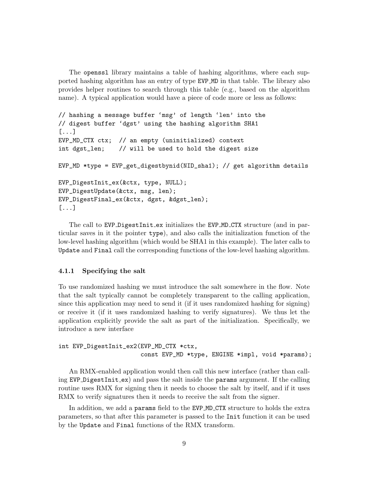The openssl library maintains a table of hashing algorithms, where each supported hashing algorithm has an entry of type EVP MD in that table. The library also provides helper routines to search through this table (e.g., based on the algorithm name). A typical application would have a piece of code more or less as follows:

```
// hashing a message buffer 'msg' of length 'len' into the
// digest buffer 'dgst' using the hashing algorithm SHA1
[...]
EVP_MD_CTX ctx; // an empty (uninitialized) context
int dgst_len; // will be used to hold the digest size
EVP_MD *type = EVP_get_digestbynid(NID_sha1); // get algorithm details
EVP_DigestInit_ex(&ctx, type, NULL);
EVP_DigestUpdate(&ctx, msg, len);
EVP_DigestFinal_ex(&ctx, dgst, &dgst_len);
[...]
```
The call to EVP\_DigestInit\_ex initializes the EVP\_MD\_CTX structure (and in particular saves in it the pointer type), and also calls the initialization function of the low-level hashing algorithm (which would be SHA1 in this example). The later calls to Update and Final call the corresponding functions of the low-level hashing algorithm.

## 4.1.1 Specifying the salt

To use randomized hashing we must introduce the salt somewhere in the flow. Note that the salt typically cannot be completely transparent to the calling application, since this application may need to send it (if it uses randomized hashing for signing) or receive it (if it uses randomized hashing to verify signatures). We thus let the application explicitly provide the salt as part of the initialization. Specifically, we introduce a new interface

```
int EVP_DigestInit_ex2(EVP_MD_CTX *ctx,
                       const EVP_MD *type, ENGINE *impl, void *params);
```
An RMX-enabled application would then call this new interface (rather than calling EVP DigestInit ex) and pass the salt inside the params argument. If the calling routine uses RMX for signing then it needs to choose the salt by itself, and if it uses RMX to verify signatures then it needs to receive the salt from the signer.

In addition, we add a params field to the EVP MD CTX structure to holds the extra parameters, so that after this parameter is passed to the Init function it can be used by the Update and Final functions of the RMX transform.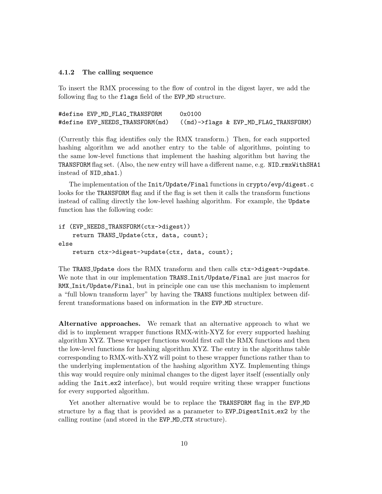### 4.1.2 The calling sequence

To insert the RMX processing to the flow of control in the digest layer, we add the following flag to the flags field of the EVP MD structure.

| #define EVP MD FLAG TRANSFORM | 0x0100                                                                |
|-------------------------------|-----------------------------------------------------------------------|
|                               | #define EVP_NEEDS_TRANSFORM(md) ((md)->flags & EVP_MD_FLAG_TRANSFORM) |

(Currently this flag identifies only the RMX transform.) Then, for each supported hashing algorithm we add another entry to the table of algorithms, pointing to the same low-level functions that implement the hashing algorithm but having the TRANSFORM flag set. (Also, the new entry will have a different name, e.g. NID\_rmxWithSHA1 instead of NID\_sha1.)

The implementation of the Init/Update/Final functions in crypto/evp/digest.c looks for the TRANSFORM flag and if the flag is set then it calls the transform functions instead of calling directly the low-level hashing algorithm. For example, the Update function has the following code:

```
if (EVP_NEEDS_TRANSFORM(ctx->digest))
    return TRANS_Update(ctx, data, count);
else
    return ctx->digest->update(ctx, data, count);
```
The TRANS Update does the RMX transform and then calls ctx->digest->update. We note that in our implementation TRANS\_Init/Update/Final are just macros for RMX Init/Update/Final, but in principle one can use this mechanism to implement a "full blown transform layer" by having the TRANS functions multiplex between different transformations based on information in the EVP MD structure.

Alternative approaches. We remark that an alternative approach to what we did is to implement wrapper functions RMX-with-XYZ for every supported hashing algorithm XYZ. These wrapper functions would first call the RMX functions and then the low-level functions for hashing algorithm XYZ. The entry in the algorithms table corresponding to RMX-with-XYZ will point to these wrapper functions rather than to the underlying implementation of the hashing algorithm XYZ. Implementing things this way would require only minimal changes to the digest layer itself (essentially only adding the Init\_ex2 interface), but would require writing these wrapper functions for every supported algorithm.

Yet another alternative would be to replace the TRANSFORM flag in the EVP\_MD structure by a flag that is provided as a parameter to EVP DigestInit\_ex2 by the calling routine (and stored in the EVP MD CTX structure).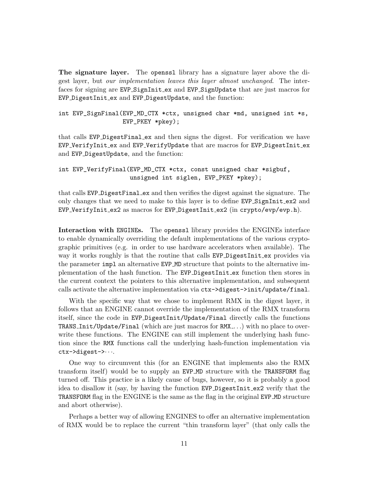The signature layer. The openssl library has a signature layer above the digest layer, but our implementation leaves this layer almost unchanged. The interfaces for signing are EVP SignInit ex and EVP SignUpdate that are just macros for EVP DigestInit ex and EVP DigestUpdate, and the function:

int EVP\_SignFinal(EVP\_MD\_CTX \*ctx, unsigned char \*md, unsigned int \*s, EVP\_PKEY \*pkey);

that calls EVP DigestFinal ex and then signs the digest. For verification we have EVP VerifyInit ex and EVP VerifyUpdate that are macros for EVP DigestInit ex and EVP DigestUpdate, and the function:

```
int EVP_VerifyFinal(EVP_MD_CTX *ctx, const unsigned char *sigbuf,
                    unsigned int siglen, EVP_PKEY *pkey);
```
that calls EVP DigestFinal ex and then verifies the digest against the signature. The only changes that we need to make to this layer is to define EVP SignInit ex2 and EVP VerifyInit ex2 as macros for EVP DigestInit ex2 (in crypto/evp/evp.h).

Interaction with ENGINEs. The openssl library provides the ENGINEs interface to enable dynamically overriding the default implementations of the various cryptographic primitives (e.g. in order to use hardware accelerators when available). The way it works roughly is that the routine that calls EVP DigestInit ex provides via the parameter impl an alternative EVP MD structure that points to the alternative implementation of the hash function. The EVP DigestInit ex function then stores in the current context the pointers to this alternative implementation, and subsequent calls activate the alternative implementation via ctx->digest->init/update/final.

With the specific way that we chose to implement RMX in the digest layer, it follows that an ENGINE cannot override the implementation of the RMX transform itself, since the code in EVP DigestInit/Update/Final directly calls the functions TRANS Init/Update/Final (which are just macros for RMX . . .) with no place to overwrite these functions. The ENGINE can still implement the underlying hash function since the RMX functions call the underlying hash-function implementation via ctx->digest->· · ·.

One way to circumvent this (for an ENGINE that implements also the RMX transform itself) would be to supply an EVP MD structure with the TRANSFORM flag turned off. This practice is a likely cause of bugs, however, so it is probably a good idea to disallow it (say, by having the function EVP DigestInit ex2 verify that the TRANSFORM flag in the ENGINE is the same as the flag in the original EVP MD structure and abort otherwise).

Perhaps a better way of allowing ENGINES to offer an alternative implementation of RMX would be to replace the current "thin transform layer" (that only calls the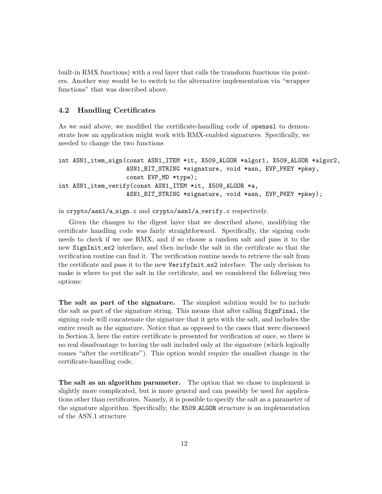built-in RMX functions) with a real layer that calls the transform functions via pointers. Another way would be to switch to the alternative implementation via "wrapper functions" that was described above.

## 4.2 Handling Certificates

As we said above, we modified the certificate-handling code of openss1 to demonstrate how an application might work with RMX-enabled signatures. Specifically, we needed to change the two functions

```
int ASN1_item_sign(const ASN1_ITEM *it, X509_ALGOR *algor1, X509_ALGOR *algor2,
                   ASN1_BIT_STRING *signature, void *asn, EVP_PKEY *pkey,
                   const EVP_MD *type);
int ASN1_item_verify(const ASN1_ITEM *it, X509_ALGOR *a,
                   ASN1_BIT_STRING *signature, void *asn, EVP_PKEY *pkey);
```
in crypto/asn1/a sign.c and crypto/asn1/a verify.c respectively.

Given the changes to the digest layer that we described above, modifying the certificate handling code was fairly straightforward. Specifically, the signing code needs to check if we use RMX, and if so choose a random salt and pass it to the new SignInit ex2 interface, and then include the salt in the certificate so that the verification routine can find it. The verification routine needs to retrieve the salt from the certificate and pass it to the new VerifyInit\_ex2 interface. The only decision to make is where to put the salt in the certificate, and we considered the following two options:

The salt as part of the signature. The simplest solution would be to include the salt as part of the signature string. This means that after calling SignFinal, the signing code will concatenate the signature that it gets with the salt, and includes the entire result as the signature. Notice that as opposed to the cases that were discussed in Section 3, here the entire certificate is presented for verification at once, so there is no real disadvantage to having the salt included only at the signature (which logically comes "after the certificate"). This option would require the smallest change in the certificate-handling code.

The salt as an algorithm parameter. The option that we chose to implement is slightly more complicated, but is more general and can possibly be used for applications other than certificates. Namely, it is possible to specify the salt as a parameter of the signature algorithm. Specifically, the X509 ALGOR structure is an implementation of the ASN.1 structure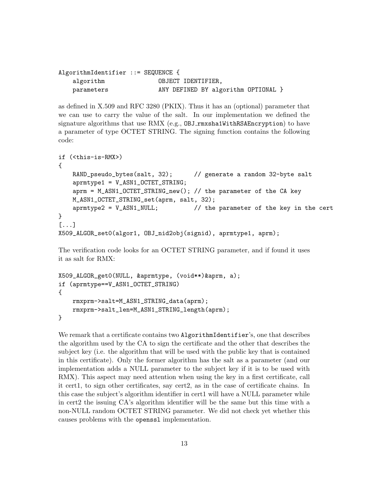| AlgorithmIdentifier ::= SEQUENCE { |                    |  |                                     |  |
|------------------------------------|--------------------|--|-------------------------------------|--|
| algorithm                          | OBJECT IDENTIFIER. |  |                                     |  |
| parameters                         |                    |  | ANY DEFINED BY algorithm OPTIONAL } |  |

as defined in X.509 and RFC 3280 (PKIX). Thus it has an (optional) parameter that we can use to carry the value of the salt. In our implementation we defined the signature algorithms that use RMX (e.g., OBJ rmxsha1WithRSAEncryption) to have a parameter of type OCTET STRING. The signing function contains the following code:

```
if (<this-is-RMX>)
{
   RAND_pseudo_bytes(salt, 32); // generate a random 32-byte salt
   aprmtype1 = V_ASN1_OCTET_STRING;
   aprm = M_ASN1_OCTET_STRING_new(); // the parameter of the CA key
   M_ASN1_OCTET_STRING_set(aprm, salt, 32);
   aprmtype2 = V_ASN1_NULL; // the parameter of the key in the cert
}
[...]
X509_ALGOR_set0(algor1, OBJ_nid2obj(signid), aprmtype1, aprm);
```
The verification code looks for an OCTET STRING parameter, and if found it uses it as salt for RMX:

```
X509_ALGOR_get0(NULL, &aprmtype, (void**)&aprm, a);
if (aprmtype==V_ASN1_OCTET_STRING)
{
    rmxprm->salt=M_ASN1_STRING_data(aprm);
    rmxprm->salt_len=M_ASN1_STRING_length(aprm);
}
```
We remark that a certificate contains two AlgorithmIdentifier's, one that describes the algorithm used by the CA to sign the certificate and the other that describes the subject key (i.e. the algorithm that will be used with the public key that is contained in this certificate). Only the former algorithm has the salt as a parameter (and our implementation adds a NULL parameter to the subject key if it is to be used with RMX). This aspect may need attention when using the key in a first certificate, call it cert1, to sign other certificates, say cert2, as in the case of certificate chains. In this case the subject's algorithm identifier in cert1 will have a NULL parameter while in cert2 the issuing CA's algorithm identifier will be the same but this time with a non-NULL random OCTET STRING parameter. We did not check yet whether this causes problems with the openssl implementation.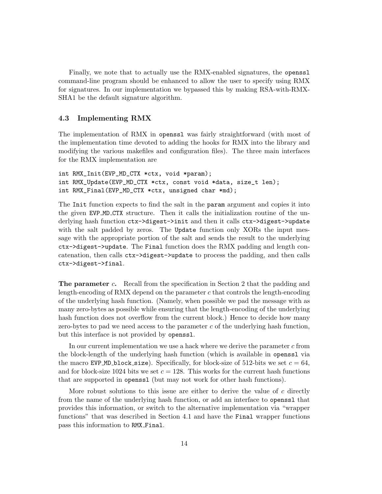Finally, we note that to actually use the RMX-enabled signatures, the openssl command-line program should be enhanced to allow the user to specify using RMX for signatures. In our implementation we bypassed this by making RSA-with-RMX-SHA1 be the default signature algorithm.

## 4.3 Implementing RMX

The implementation of RMX in openssl was fairly straightforward (with most of the implementation time devoted to adding the hooks for RMX into the library and modifying the various makefiles and configuration files). The three main interfaces for the RMX implementation are

```
int RMX_Init(EVP_MD_CTX *ctx, void *param);
int RMX_Update(EVP_MD_CTX *ctx, const void *data, size_t len);
int RMX_Final(EVP_MD_CTX *ctx, unsigned char *md);
```
The Init function expects to find the salt in the **param** argument and copies it into the given EVP MD CTX structure. Then it calls the initialization routine of the underlying hash function ctx->digest->init and then it calls ctx->digest->update with the salt padded by zeros. The Update function only XORs the input message with the appropriate portion of the salt and sends the result to the underlying ctx->digest->update. The Final function does the RMX padding and length concatenation, then calls ctx->digest->update to process the padding, and then calls ctx->digest->final.

**The parameter c.** Recall from the specification in Section 2 that the padding and length-encoding of RMX depend on the parameter  $c$  that controls the length-encoding of the underlying hash function. (Namely, when possible we pad the message with as many zero-bytes as possible while ensuring that the length-encoding of the underlying hash function does not overflow from the current block.) Hence to decide how many zero-bytes to pad we need access to the parameter  $c$  of the underlying hash function, but this interface is not provided by openssl.

In our current implementation we use a hack where we derive the parameter  $c$  from the block-length of the underlying hash function (which is available in openssl via the macro EVP\_MD\_block\_size). Specifically, for block-size of 512-bits we set  $c = 64$ , and for block-size 1024 bits we set  $c = 128$ . This works for the current hash functions that are supported in openssl (but may not work for other hash functions).

More robust solutions to this issue are either to derive the value of c directly from the name of the underlying hash function, or add an interface to openssl that provides this information, or switch to the alternative implementation via "wrapper functions" that was described in Section 4.1 and have the Final wrapper functions pass this information to RMX Final.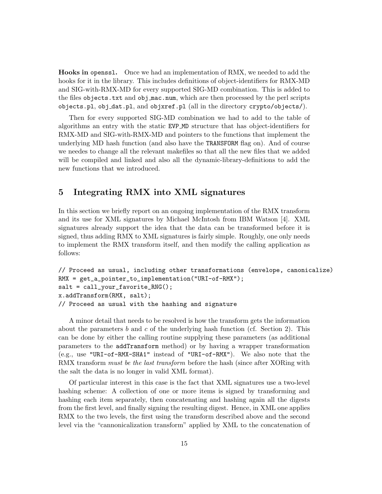Hooks in openssl. Once we had an implementation of RMX, we needed to add the hooks for it in the library. This includes definitions of object-identifiers for RMX-MD and SIG-with-RMX-MD for every supported SIG-MD combination. This is added to the files objects.txt and obj mac.num, which are then processed by the perl scripts objects.pl, obj dat.pl, and objxref.pl (all in the directory crypto/objects/).

Then for every supported SIG-MD combination we had to add to the table of algorithms an entry with the static EVP MD structure that has object-identifiers for RMX-MD and SIG-with-RMX-MD and pointers to the functions that implement the underlying MD hash function (and also have the TRANSFORM flag on). And of course we needes to change all the relevant makefiles so that all the new files that we added will be compiled and linked and also all the dynamic-library-definitions to add the new functions that we introduced.

# 5 Integrating RMX into XML signatures

In this section we briefly report on an ongoing implementation of the RMX transform and its use for XML signatures by Michael McIntosh from IBM Watson [4]. XML signatures already support the idea that the data can be transformed before it is signed, thus adding RMX to XML signatures is fairly simple. Roughly, one only needs to implement the RMX transform itself, and then modify the calling application as follows:

```
// Proceed as usual, including other transformations (envelope, canonicalize)
RMX = get_a_pointer_to_implementation("URI-of-RMX");
salt = call\_your\_favorite\_RNG();
x.addTransform(RMX, salt);
// Proceed as usual with the hashing and signature
```
A minor detail that needs to be resolved is how the transform gets the information about the parameters b and c of the underlying hash function (cf. Section 2). This can be done by either the calling routine supplying these parameters (as additional parameters to the addTransform method) or by having a wrapper transformation (e.g., use "URI-of-RMX-SHA1" instead of "URI-of-RMX"). We also note that the RMX transform must be the last transform before the hash (since after XORing with the salt the data is no longer in valid XML format).

Of particular interest in this case is the fact that XML signatures use a two-level hashing scheme: A collection of one or more items is signed by transforming and hashing each item separately, then concatenating and hashing again all the digests from the first level, and finally signing the resulting digest. Hence, in XML one applies RMX to the two levels, the first using the transform described above and the second level via the "cannonicalization transform" applied by XML to the concatenation of